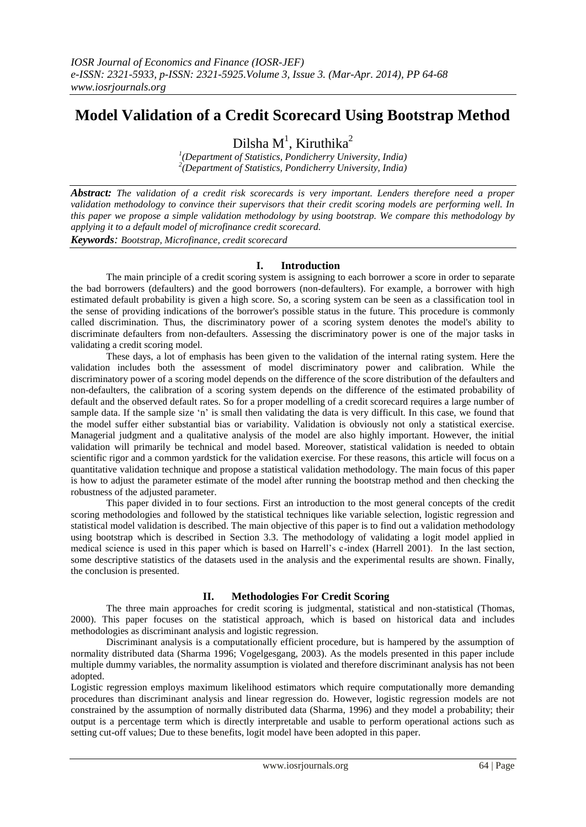# **Model Validation of a Credit Scorecard Using Bootstrap Method**

Dilsha  $M<sup>1</sup>$ , Kiruthika<sup>2</sup>

*1 (Department of Statistics, Pondicherry University, India) 2 (Department of Statistics, Pondicherry University, India)*

*Abstract: The validation of a credit risk scorecards is very important. Lenders therefore need a proper validation methodology to convince their supervisors that their credit scoring models are performing well. In this paper we propose a simple validation methodology by using bootstrap. We compare this methodology by applying it to a default model of microfinance credit scorecard. Keywords: Bootstrap, Microfinance, credit scorecard*

# **I. Introduction**

The main principle of a credit scoring system is assigning to each borrower a score in order to separate the bad borrowers (defaulters) and the good borrowers (non-defaulters). For example, a borrower with high estimated default probability is given a high score. So, a scoring system can be seen as a classification tool in the sense of providing indications of the borrower's possible status in the future. This procedure is commonly called discrimination. Thus, the discriminatory power of a scoring system denotes the model's ability to discriminate defaulters from non-defaulters. Assessing the discriminatory power is one of the major tasks in validating a credit scoring model.

These days, a lot of emphasis has been given to the validation of the internal rating system. Here the validation includes both the assessment of model discriminatory power and calibration. While the discriminatory power of a scoring model depends on the difference of the score distribution of the defaulters and non-defaulters, the calibration of a scoring system depends on the difference of the estimated probability of default and the observed default rates. So for a proper modelling of a credit scorecard requires a large number of sample data. If the sample size 'n' is small then validating the data is very difficult. In this case, we found that the model suffer either substantial bias or variability. Validation is obviously not only a statistical exercise. Managerial judgment and a qualitative analysis of the model are also highly important. However, the initial validation will primarily be technical and model based. Moreover, statistical validation is needed to obtain scientific rigor and a common yardstick for the validation exercise. For these reasons, this article will focus on a quantitative validation technique and propose a statistical validation methodology. The main focus of this paper is how to adjust the parameter estimate of the model after running the bootstrap method and then checking the robustness of the adjusted parameter.

This paper divided in to four sections. First an introduction to the most general concepts of the credit scoring methodologies and followed by the statistical techniques like variable selection, logistic regression and statistical model validation is described. The main objective of this paper is to find out a validation methodology using bootstrap which is described in Section 3.3. The methodology of validating a logit model applied in medical science is used in this paper which is based on Harrell's c-index (Harrell 2001). In the last section, some descriptive statistics of the datasets used in the analysis and the experimental results are shown. Finally, the conclusion is presented.

# **II. Methodologies For Credit Scoring**

The three main approaches for credit scoring is judgmental, statistical and non-statistical (Thomas, 2000). This paper focuses on the statistical approach, which is based on historical data and includes methodologies as discriminant analysis and logistic regression.

Discriminant analysis is a computationally efficient procedure, but is hampered by the assumption of normality distributed data (Sharma 1996; Vogelgesgang, 2003). As the models presented in this paper include multiple dummy variables, the normality assumption is violated and therefore discriminant analysis has not been adopted.

Logistic regression employs maximum likelihood estimators which require computationally more demanding procedures than discriminant analysis and linear regression do. However, logistic regression models are not constrained by the assumption of normally distributed data (Sharma, 1996) and they model a probability; their output is a percentage term which is directly interpretable and usable to perform operational actions such as setting cut-off values; Due to these benefits, logit model have been adopted in this paper.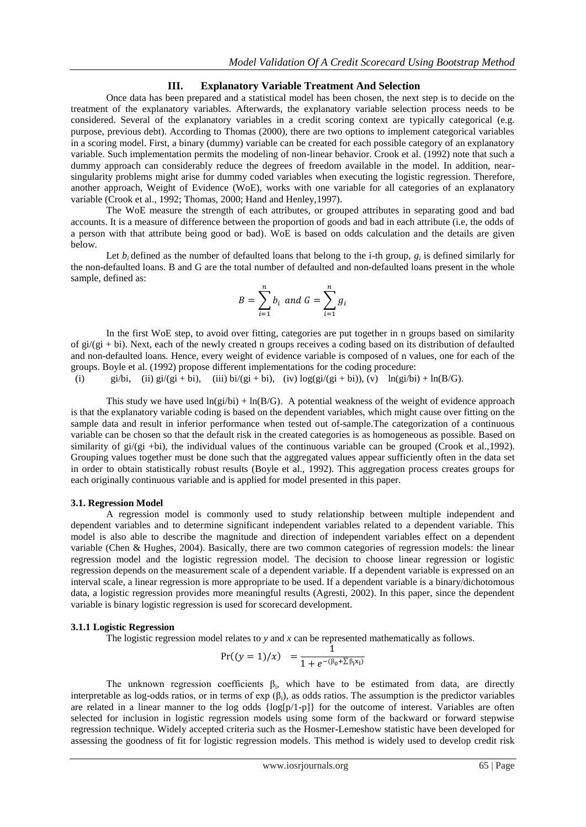### **III. Explanatory Variable Treatment And Selection**

Once data has been prepared and a statistical model has been chosen, the next step is to decide on the treatment of the explanatory variables. Afterwards, the explanatory variable selection process needs to be considered. Several of the explanatory variables in a credit scoring context are typically categorical (e.g. purpose, previous debt). According to Thomas (2000), there are two options to implement categorical variables in a scoring model. First, a binary (dummy) variable can be created for each possible category of an explanatory variable. Such implementation permits the modeling of non-linear behavior. Crook et al. (1992) note that such a dummy approach can considerably reduce the degrees of freedom available in the model. In addition, nearsingularity problems might arise for dummy coded variables when executing the logistic regression. Therefore, another approach, Weight of Evidence (WoE), works with one variable for all categories of an explanatory variable (Crook et al., 1992; Thomas, 2000; Hand and Henley,1997).

The WoE measure the strength of each attributes, or grouped attributes in separating good and bad accounts. It is a measure of difference between the proportion of goods and bad in each attribute (i.e, the odds of a person with that attribute being good or bad). WoE is based on odds calculation and the details are given below.

Let  $b_i$  defined as the number of defaulted loans that belong to the i-th group,  $g_i$  is defined similarly for the non-defaulted loans. B and G are the total number of defaulted and non-defaulted loans present in the whole sample, defined as:

$$
B = \sum_{i=1}^{n} b_i \text{ and } G = \sum_{i=1}^{n} g_i
$$

In the first WoE step, to avoid over fitting, categories are put together in n groups based on similarity of  $gi/(gi + bi)$ . Next, each of the newly created n groups receives a coding based on its distribution of defaulted and non-defaulted loans. Hence, every weight of evidence variable is composed of n values, one for each of the groups. Boyle et al. (1992) propose different implementations for the coding procedure:

(i) gi/bi, (ii) gi/(gi + bi), (iii) bi/(gi + bi), (iv) log(gi/(gi + bi)), (v) ln(gi/bi) + ln(B/G).

This study we have used  $ln(g<sub>i</sub>/bi) + ln(B/G)$ . A potential weakness of the weight of evidence approach is that the explanatory variable coding is based on the dependent variables, which might cause over fitting on the sample data and result in inferior performance when tested out of-sample.The categorization of a continuous variable can be chosen so that the default risk in the created categories is as homogeneous as possible. Based on similarity of  $gi/(gi + bi)$ , the individual values of the continuous variable can be grouped (Crook et al.,1992). Grouping values together must be done such that the aggregated values appear sufficiently often in the data set in order to obtain statistically robust results (Boyle et al., 1992). This aggregation process creates groups for each originally continuous variable and is applied for model presented in this paper.

#### **3.1. Regression Model**

A regression model is commonly used to study relationship between multiple independent and dependent variables and to determine significant independent variables related to a dependent variable. This model is also able to describe the magnitude and direction of independent variables effect on a dependent variable (Chen & Hughes, 2004). Basically, there are two common categories of regression models: the linear regression model and the logistic regression model. The decision to choose linear regression or logistic regression depends on the measurement scale of a dependent variable. If a dependent variable is expressed on an interval scale, a linear regression is more appropriate to be used. If a dependent variable is a binary/dichotomous data, a logistic regression provides more meaningful results (Agresti, 2002). In this paper, since the dependent variable is binary logistic regression is used for scorecard development.

#### **3.1.1 Logistic Regression**

The logistic regression model relates to *y* and *x* can be represented mathematically as follows.

$$
Pr((y = 1)/x) = \frac{1}{1 + e^{-(\beta_0 + \sum \beta_i x_i)}}
$$

The unknown regression coefficients  $\beta_i$ , which have to be estimated from data, are directly interpretable as log-odds ratios, or in terms of  $exp(\beta_i)$ , as odds ratios. The assumption is the predictor variables are related in a linear manner to the log odds  $\{log[p/1-p]\}$  for the outcome of interest. Variables are often selected for inclusion in logistic regression models using some form of the backward or forward stepwise regression technique. Widely accepted criteria such as the Hosmer-Lemeshow statistic have been developed for assessing the goodness of fit for logistic regression models. This method is widely used to develop credit risk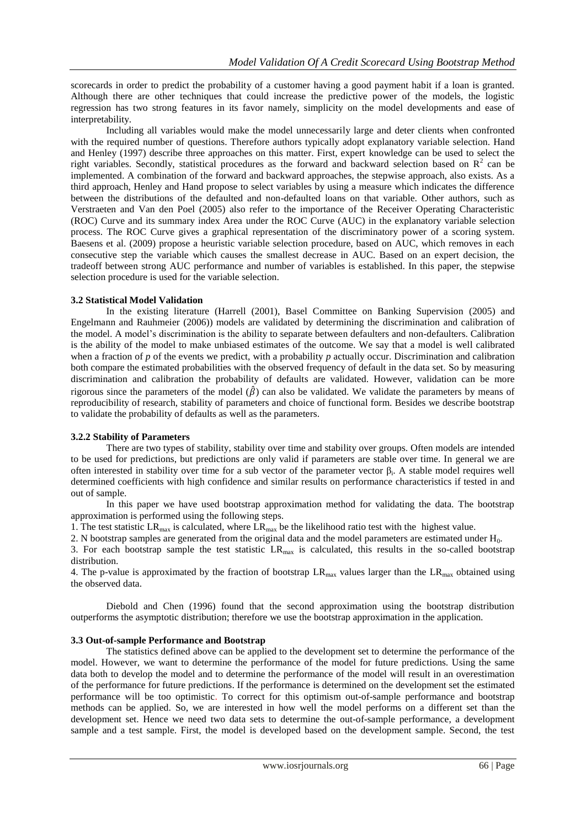scorecards in order to predict the probability of a customer having a good payment habit if a loan is granted. Although there are other techniques that could increase the predictive power of the models, the logistic regression has two strong features in its favor namely, simplicity on the model developments and ease of interpretability.

Including all variables would make the model unnecessarily large and deter clients when confronted with the required number of questions. Therefore authors typically adopt explanatory variable selection. Hand and Henley (1997) describe three approaches on this matter. First, expert knowledge can be used to select the right variables. Secondly, statistical procedures as the forward and backward selection based on  $\mathbb{R}^2$  can be implemented. A combination of the forward and backward approaches, the stepwise approach, also exists. As a third approach, Henley and Hand propose to select variables by using a measure which indicates the difference between the distributions of the defaulted and non-defaulted loans on that variable. Other authors, such as Verstraeten and Van den Poel (2005) also refer to the importance of the Receiver Operating Characteristic (ROC) Curve and its summary index Area under the ROC Curve (AUC) in the explanatory variable selection process. The ROC Curve gives a graphical representation of the discriminatory power of a scoring system. Baesens et al. (2009) propose a heuristic variable selection procedure, based on AUC, which removes in each consecutive step the variable which causes the smallest decrease in AUC. Based on an expert decision, the tradeoff between strong AUC performance and number of variables is established. In this paper, the stepwise selection procedure is used for the variable selection.

### **3.2 Statistical Model Validation**

In the existing literature (Harrell (2001), Basel Committee on Banking Supervision (2005) and Engelmann and Rauhmeier (2006)) models are validated by determining the discrimination and calibration of the model. A model's discrimination is the ability to separate between defaulters and non-defaulters. Calibration is the ability of the model to make unbiased estimates of the outcome. We say that a model is well calibrated when a fraction of *p* of the events we predict, with a probability *p* actually occur. Discrimination and calibration both compare the estimated probabilities with the observed frequency of default in the data set. So by measuring discrimination and calibration the probability of defaults are validated. However, validation can be more rigorous since the parameters of the model  $(\hat{\beta})$  can also be validated. We validate the parameters by means of reproducibility of research, stability of parameters and choice of functional form. Besides we describe bootstrap to validate the probability of defaults as well as the parameters.

### **3.2.2 Stability of Parameters**

There are two types of stability, stability over time and stability over groups. Often models are intended to be used for predictions, but predictions are only valid if parameters are stable over time. In general we are often interested in stability over time for a sub vector of the parameter vector  $\beta_i$ . A stable model requires well determined coefficients with high confidence and similar results on performance characteristics if tested in and out of sample.

In this paper we have used bootstrap approximation method for validating the data. The bootstrap approximation is performed using the following steps.

1. The test statistic  $LR_{max}$  is calculated, where  $LR_{max}$  be the likelihood ratio test with the highest value.

2. N bootstrap samples are generated from the original data and the model parameters are estimated under H<sub>0</sub>.

3. For each bootstrap sample the test statistic LRmax is calculated, this results in the so-called bootstrap distribution.

4. The p-value is approximated by the fraction of bootstrap  $LR_{max}$  values larger than the  $LR_{max}$  obtained using the observed data.

Diebold and Chen (1996) found that the second approximation using the bootstrap distribution outperforms the asymptotic distribution; therefore we use the bootstrap approximation in the application.

### **3.3 Out-of-sample Performance and Bootstrap**

The statistics defined above can be applied to the development set to determine the performance of the model. However, we want to determine the performance of the model for future predictions. Using the same data both to develop the model and to determine the performance of the model will result in an overestimation of the performance for future predictions. If the performance is determined on the development set the estimated performance will be too optimistic. To correct for this optimism out-of-sample performance and bootstrap methods can be applied. So, we are interested in how well the model performs on a different set than the development set. Hence we need two data sets to determine the out-of-sample performance, a development sample and a test sample. First, the model is developed based on the development sample. Second, the test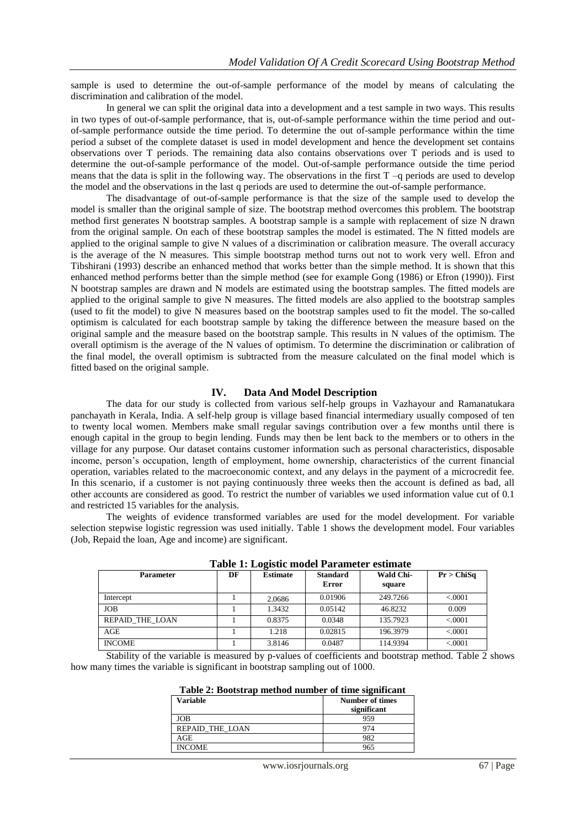sample is used to determine the out-of-sample performance of the model by means of calculating the discrimination and calibration of the model.

In general we can split the original data into a development and a test sample in two ways. This results in two types of out-of-sample performance, that is, out-of-sample performance within the time period and outof-sample performance outside the time period. To determine the out of-sample performance within the time period a subset of the complete dataset is used in model development and hence the development set contains observations over T periods. The remaining data also contains observations over T periods and is used to determine the out-of-sample performance of the model. Out-of-sample performance outside the time period means that the data is split in the following way. The observations in the first  $T - q$  periods are used to develop the model and the observations in the last q periods are used to determine the out-of-sample performance.

The disadvantage of out-of-sample performance is that the size of the sample used to develop the model is smaller than the original sample of size. The bootstrap method overcomes this problem. The bootstrap method first generates N bootstrap samples. A bootstrap sample is a sample with replacement of size N drawn from the original sample. On each of these bootstrap samples the model is estimated. The N fitted models are applied to the original sample to give N values of a discrimination or calibration measure. The overall accuracy is the average of the N measures. This simple bootstrap method turns out not to work very well. Efron and Tibshirani (1993) describe an enhanced method that works better than the simple method. It is shown that this enhanced method performs better than the simple method (see for example Gong (1986) or Efron (1990)). First N bootstrap samples are drawn and N models are estimated using the bootstrap samples. The fitted models are applied to the original sample to give N measures. The fitted models are also applied to the bootstrap samples (used to fit the model) to give N measures based on the bootstrap samples used to fit the model. The so-called optimism is calculated for each bootstrap sample by taking the difference between the measure based on the original sample and the measure based on the bootstrap sample. This results in N values of the optimism. The overall optimism is the average of the N values of optimism. To determine the discrimination or calibration of the final model, the overall optimism is subtracted from the measure calculated on the final model which is fitted based on the original sample.

## **IV. Data And Model Description**

The data for our study is collected from various self-help groups in Vazhayour and Ramanatukara panchayath in Kerala, India. A self-help group is village based financial intermediary usually composed of ten to twenty local women. Members make small regular savings contribution over a few months until there is enough capital in the group to begin lending. Funds may then be lent back to the members or to others in the village for any purpose. Our dataset contains customer information such as personal characteristics, disposable income, person's occupation, length of employment, home ownership, characteristics of the current financial operation, variables related to the macroeconomic context, and any delays in the payment of a microcredit fee. In this scenario, if a customer is not paying continuously three weeks then the account is defined as bad, all other accounts are considered as good. To restrict the number of variables we used information value cut of 0.1 and restricted 15 variables for the analysis.

The weights of evidence transformed variables are used for the model development. For variable selection stepwise logistic regression was used initially. Table 1 shows the development model. Four variables (Job, Repaid the loan, Age and income) are significant.

| Table 1. Logistic model I arameter estimate |    |                 |                          |                            |            |  |  |
|---------------------------------------------|----|-----------------|--------------------------|----------------------------|------------|--|--|
| <b>Parameter</b>                            | DF | <b>Estimate</b> | <b>Standard</b><br>Error | <b>Wald Chi-</b><br>square | Pr > ChiSa |  |  |
| Intercept                                   |    | 2.0686          | 0.01906                  | 249.7266                   | < .0001    |  |  |
| <b>JOB</b>                                  |    | 1.3432          | 0.05142                  | 46.8232                    | 0.009      |  |  |
| <b>REPAID THE LOAN</b>                      |    | 0.8375          | 0.0348                   | 135.7923                   | < .0001    |  |  |
| AGE                                         |    | 1.218           | 0.02815                  | 196.3979                   | < .0001    |  |  |
| <b>INCOME</b>                               |    | 3.8146          | 0.0487                   | 114.9394                   | < 0.0001   |  |  |

**Table 1: Logistic model Parameter estimate**

Stability of the variable is measured by p-values of coefficients and bootstrap method. Table 2 shows how many times the variable is significant in bootstrap sampling out of 1000.

| Table 2: Bootstrap method number of time significant |
|------------------------------------------------------|
|------------------------------------------------------|

| <b>Variable</b>        | <b>Number of times</b><br>significant |
|------------------------|---------------------------------------|
| JOB                    | 959                                   |
| <b>REPAID THE LOAN</b> |                                       |
| AGE                    |                                       |
| <b>INCOME</b>          |                                       |